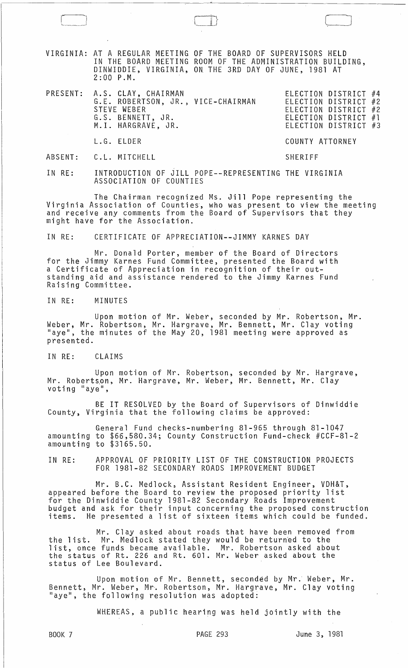VIRGINIA: AT A REGULAR MEETING OF THE BOARD OF SUPERVISORS HELD IN THE BOARD MEETING ROOM OF THE ADMINISTRATION BUILDING, DINWIDDIE, VIRGINIA, ON THE 3RD DAY OF JUNE, 1981 AT 2:00 P.M.

| PRESENT: A.S. CLAY, CHAIRMAN<br>G.E. ROBERTSON, JR., VICE-CHAIRMAN<br>STEVE WEBER<br>G.S. BENNETT, JR.<br>M.I. HARGRAVE, JR. | ELECTION DISTRICT #4<br>ELECTION DISTRICT #2<br>ELECTION DISTRICT #2<br>ELECTION DISTRICT #1<br>ELECTION DISTRICT #3 |  |  |
|------------------------------------------------------------------------------------------------------------------------------|----------------------------------------------------------------------------------------------------------------------|--|--|
| L.G. ELDER                                                                                                                   | COUNTY ATTORNEY                                                                                                      |  |  |
| ABSENT: C.L. MITCHELL                                                                                                        | SHERIFF                                                                                                              |  |  |

IN RE: INTRODUCTION OF JILL POPE--REPRESENTING THE VIRGINIA ASSOCIATION OF COUNTIES

The Chairman recognized Ms. Jill Pope representing the Virginia Association of Counties, who was present to view the meeting and receive any comments from the Board of Supervisors that they might have for the Association.

IN RE: CERTIFICATE OF APPRECIATION--JIMMY KARNES DAY

Mr. Donald Porter, member of the Board of Directors for the Jimmy Karnes Fund Committee, presented the Board with a Certificate of Appreciation in recognition of their outstanding aid and assistance rendered to the Jimmy Karnes Fund Raising Committee.

IN RE: MINUTES

Upon motion of Mr. Weber, seconded by Mr. Robertson, Mr. Weber, Mr. Robertson, Mr. Hargrave, Mr. Bennett, Mr. Clay voting "aye", the minutes of the May 20, 1981 meeting were approved as presented.

IN RE: CLAIMS

Upon motion of Mr. Robertson, seconded by Mr. Hargrave, Mr. Robertson, Mr. Hargrave, Mr. Weber, Mr. Bennett, Mr. Clay<br>voting "aye",

BE IT RESOLVED by the Board of Supervisors of Dinwiddie County, Virginia that the following claims be approved:

General Fund checks-numbering 81-965 through 81-1047 amounting to \$66,580.34; County Construction Fund-check #CCF-8l-2 amounting to \$3165.50.

IN RE: APPROVAL OF PRIORITY LIST OF THE CONSTRUCTION PROJECTS FOR 1981-82 SECONDARY ROADS IMPROVEMENT BUDGET

Mr. B.C. Medlock, Assistant Resident Engineer, VDH&T, appeared before the Board to review the proposed priority list for the Dinwiddie County 1981-82 Secondary Roads Improvement<br>budget and ask for their input concerning the proposed construction budget and ask for their input concerning the proposed construction<br>items. He presented a list of sixteen items which could be funded.

Mr. Clay asked about roads that have been removed from the list. Mr. Medlock stated they would be returned to the list, once funds became available. Mr. Robertson asked about the status of Rt. 226 and Rt. 601. Mr. Weber asked about the status of Lee Boulevard.

Upon motion of Mr. Bennett, seconded by Mr. Weber, Mr. Bennett, Mr. Weber, Mr-. Robertson, Mr. Hargrave, Mr. Clay voting "aye", the following resolution was adopted:

WHEREAS, a public hearing was held jointly with the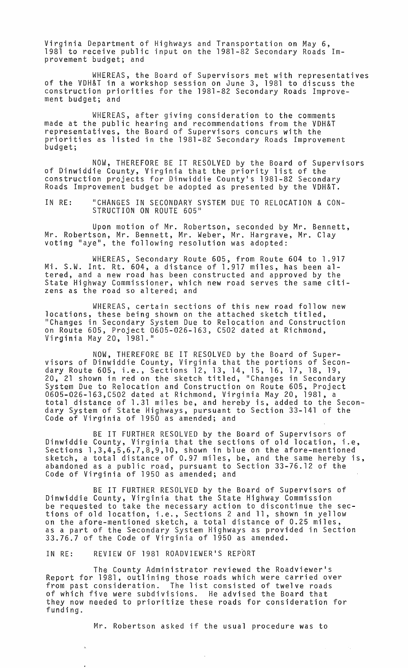Virginia Department of Highways and Transportation on May 6, 1981 to receive public input on the 1981-82 Secondary Roads Improvement budget; and

WHEREAS, the Board of Supervisors met with representatives of the VDH&T in a workshop session on June 3, 1981 to discuss the construction priorities for the 1981-82 Secondary Roads Improvement budget; and

WHEREAS, after giving consideration to the comments made at the public hearing and recommendations from the VDH&T representatives, the Board of Supervisors concurs with the priorities as listed in the 1981-82 Secondary Roads Improvement budget;

NOW, THEREFORE BE IT RESOLVED by the Board of Supervisors of Dinwiddie County, Virginia that the priority list of the construction projects for Dinwiddie County's 1981-82 Secondary Roads Improvement budget be adopted as presented by the VDH&T.

IN RE: "CHANGES IN SECONDARY SYSTEM DUE TO RELOCATION & CON-STRUCTION ON ROUTE 605"

Upon motion of Mr. Robertson, seconded by Mr. Bennett, Mr. Robertson, Mr. Bennett, Mr. Weber, Mr. Hargrave, Mr. Clay voting "aye", the following resolution was adopted:

WHEREAS, Secondary Route 605, from Route 604 to 1.917 Mi. S.W. Int. Rt. 604, a distance of 1.917 miles, has been altered, and a new road has been constructed and approved by the State Highway Commissioner, which new road serves the same citizens as the road so altered; and

WHEREAS, certain sections of this new road follow new locations, these being shown on the attached sketch titled, "Changes in Secondary System Due to Relocation and Construction on Route 605, Project 0605-026-163, C502 dated at Richmond, Virginia May 20, 1981."

NOW, THEREFORE BE IT RESOLVED by the Board of Super- visors of Dinwiddie County, Virginia that the portions of Secondary Route 605, i.e., Sections 12, 13, 14, 15, 16, 17, 18, 19, 20, 21 shown in red on the sketch titled, "Changes in Secondary System Due to Relocation and Construction on Route 605, Project 0605-026-163,C502 dated at Richmond, Virginia May 20, 1981, a total distance of 1.31 miles be, and hereby is, added to the Secondary System of State Highways, pursuant to Section 33-141 of the Code of Virginia of 1950 as amended; and

BE IT FURTHER RESOLVED by the Board of Supervisors of Dinwiddie County, Virginia that the sections of old location, i.e, Sections 1,3,4,5,6,7,8,9,10, shown in blue on the afore-mentioned sketch, a total distance of 0.97 miles, be, and the same hereby is, abandoned as a public road, pursuant to Section 33-76.12 of the Code of Virginia of 1950 as amended; and

BE IT FURTHER RESOLVED by the Board of Supervisors of Dinwiddie County, Virginia that the State Highway Commission be requested to take the necessary action to discontinue the sections of old location, i.e., Sections 2 and 11, shown in yellow on the afore-mentioned sketch, a total distance of 0.25 miles, as a part of the Secondary System Highways as provided in Section 33.76.7 of the Code of Virginia of 1950 as amended.

IN RE: REVIEW OF 1981 ROADVIEWER'S REPORT

The County Administrator reviewed the Roadviewer's Report for 1981, outlining those roads which were carried over from past consideration. The list consisted of twelve roads of which five were subdivisions. He advised the Board that they now needed to prioritize these roads for consideration for funding.

Mr. Robertson asked if the usual procedure was to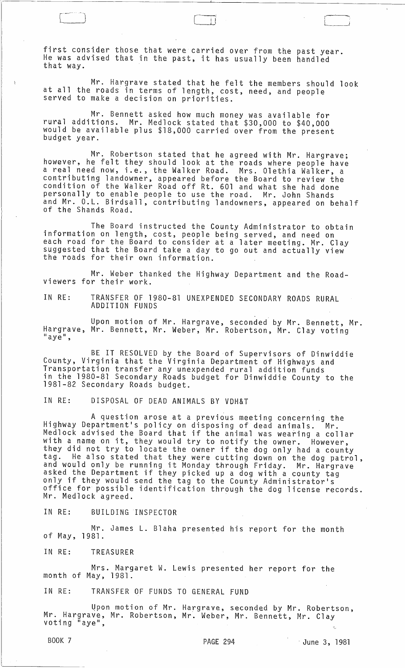first consider those that were carried over from the past year. He was advised that in the past, it has usually been handled that way.

Mr. Hargrave stated that he felt the members should look at all the roads in terms of length, cost, need, and people served to make a decision on priorities.

 $\overline{r}$  $~\Box~$ 

(

 $L_{\perp}$ 

Mr. Bennett asked how much money was available for rural additions. Mr. Medlock stated that \$30,000 to \$40,000 would be available plus \$18,000 carried over from the present<br>budget year.

Mr. Robertson stated that he agreed with Mr. Hargrave; however, he felt they should look at the roads where people have a real need now, i.e., the Walker Road. Mrs. Olethia Walker, a contributing landowner, appeared before the Board to review the condition of the Walker Road off Rt. 601 and what she had done personally to enable people to use the road. Mr. John Shands and Mr. O.L. Birdsall, contributing landowners, appeared on behalf of the Shands Road.

The Board instructed the County Administrator to obtain information on length, cost, people being served, and need on each road for the Board to consider at a later meeting. Mr. Clay<br>suggested that the Board take a day to go out and actually view suggested that the Board take a day to go out and actually view

Mr. Weber thanked the Highway Department and the Roadviewers for their work.

IN RE: TRANSFER OF 1980-81 UNEXPENDED SECONDARY ROADS RURAL ADDITION FUNDS

Upon motion of Mr. Hargrave, seconded by Mr. Bennett, Mr. Hargrave, Mr. Bennett, Mr. Weber, Mr. Robertson, Mr. Clay voting<br>"aye",

BE IT RESOLVED by the Board of Supervisors of Dinwiddie County, Virginia that the Virginia Department of Highways and Transportation transfer any unexpended rural addition funds in the 1980-81 Secondary Roads budget for Dinwiddie County to the 1981-82 Secondary Roads budget.

IN RE: DISPOSAL OF DEAD ANIMALS BY VDH&T

A question arose at a previous meeting concerning the Highway Department's policy on disposing of dead animals. Mr. Medlock advised the Board that if the animal was wearing a collar with a name on it, they would try to notify the owner. However, they did not try to locate the owner if the dog only had a county tag. He also stated that they were cutting down on the dog patrol,<br>and would only be running it Monday through Friday. Mr. Hargrave<br>asked the Department if they picked up a dog with a county tag only if they would send the tag to the County Administrator's office for possible identification through the dog license records. Mr. Medlock agreed.

IN RE: BUILDING INSPECTOR

Mr. James L. Blaha presented his report for the month of May, 1981.

IN RE: TREASURER

Mrs. Margaret W. Lewis presented her report for the month of May, 1981.

IN RE: TRANSFER OF FUNDS TO GENERAL FUND

Upon motion of Mr. Hargrave, seconded by Mr. Robertson, Mr. Hargrave, Mr. Robertson, Mr. Weber, Mr. Bennett, Mr. Clay we have grave, we hoper cool, me. weber, me. bennett, me. clay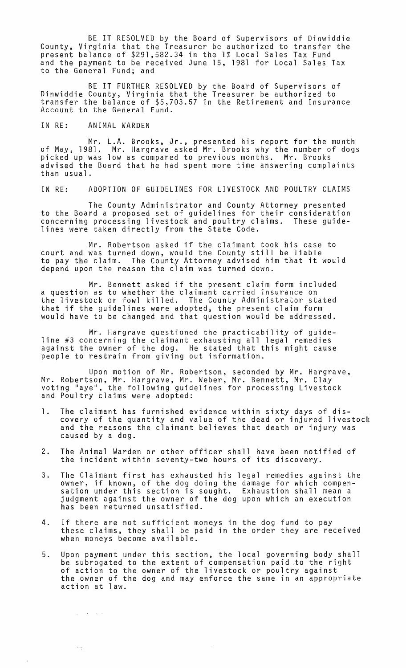BE IT RESOLVED by the Board of Supervisors of Dinwiddie County, Virginia that the Treasurer be authorized to transfer the present balance of \$291,582.34 in the 1% Local Sales Tax Fund and the payment to be received June 15, 1981 for Local Sales Tax to the General Fund; and

BE IT FURTHER RESOLVED by the Board of Supervisors of Dinwiddie County, Virginia that the Treasurer be authorized to transfer the balance of \$5,703.57 in the Retirement and Insurance Account to the General Fund.

## IN RE: ANIMAL WARDEN

 $\sim 10^{11}$  km s  $^{-1}$ 

 $\sim \gamma_{\rm th}$ 

Mr. L.A. Brooks, Jr., presented his report for the month of May, 1981. Mr. Hargrave asked Mr. Brooks why the number of dogs picked up was low as compared to previous months. Mr. Brooks advised the Board that he had spent more time answering complaints than usual.

IN RE: ADOPTION OF GUIDELINES FOR LIVESTOCK AND POULTRY CLAIMS

The County Administrator and County Attorney presented to the Board a proposed set of guidelines for their consideration concerning processing livestock and poultry claims. These guidelines were taken directly from the State Code.

Mr. Robertson asked if the claimant took his case to court and was turned down, would the County still be liable to pay the claim. The County Attorney advised him that it would depend upon the reason the claim was turned down.

Mr. Bennett asked if the present claim form included a question as to whether the claimant carried insurance on the livestock or fowl killed. The County Administrator stated that if the guidelines were adopted, the present claim form would have to be changed and that question would be addressed.

Mr. Hargrave questioned the practicability of guideline #3 concerning the claimant exhausting all legal remedies against the owner of the dog. He stated that this might cause people to restrain from giving out information.

Upon motion of Mr. Robertson, seconded by Mr. Hargrave, Mr. Robertson, Mr. Hargrave, Mr. Weber, Mr. Bennett, Mr. Clay voting "aye", the following guidelines for processing Livestock and Poultry claims were adopted:

- 1. The claimant has furnished evidence within sixty days of discovery of the quantity and value of the dead or injured livestock and the reasons the claimant believes that death or injury was caused by a dog.
- 2. The Animal Warden or other officer shall have been notified of the incident within seventy-two hours of its discovery.
- 3. The Claimant first has exhausted his legal remedies against the<br>owner, if known, of the dog doing the damage for which compenowner, if known, of the dog doing the damage for which compen- sation under this section is sought. Exhaustion shall mean a judgment against the owner of the dog upon which an execution has been returned unsatisfied.
- 4. If there are not sufficient moneys in the dog fund to pay these claims, they shall be paid in the order they are received when moneys become available.
- 5. Upon payment under this section, the local governing body shall be subrogated to the extent of compensation paid ,to the right of action to the owner of the livestock or poultry against the owner of the dog and may enforce the same in an appropriate action at law.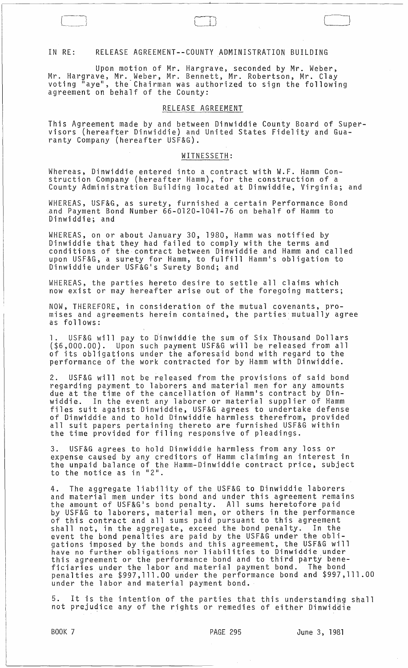### IN RE: RELEASE AGREEMENT--COUNTY ADMINISTRATION BUILDING

Upon motion of Mr. Hargrave, seconded by Mr. Weber, Mr. Hargrave, Mr. Weber, Mr. Bennett, Mr. Robertson, Mr. Clay voting "aye", the-Chairman was authorized to sign the following agreement on behalf of the County:

#### RELEASE AGREEMENT

This Agreement made by and between Dinwiddie County Board of Supervisors (hereafter Dinwiddie) and United States Fidelity and Guaranty Company (hereafter USF&G).

## WITNESSETH:

Whereas, Dinwiddie entered into a contract with W.F. Hamm Construction Company (hereafter Hamm), for the construction of a County Administration Building located at Dinwiddie, Virginia; and

WHEREAS, USF&G, as surety, furnished a certain Performance Bond and Payment Bond Number 66-0120-1041-76 on behalf of Hamm to Dinwiddie; and

WHEREAS, on or about January 30, 1980, Hamm was notified by Dinwiddie that they had failed to comply with the terms and conditions of the contract between Dinwiddie and Hamm and called upon USF&G, a surety for Hamm, to fulfill Hamm's obligation to Dinwiddie under USF&G's Surety Bond; and

WHEREAS, the parties hereto desire to settle all claims which now exist or may hereafter arise out of the foregoing matters;

NOW, THEREFORE, in consideration of the mutual covenants, promises and agreements herein contained, the parties mutually agree as follows: .

1. USF&G will pay to Dinwiddie the sum of Six Thousand Dollars (\$6,000.00). Upon such payment USF&G will be released from all of its obligations under the aforesaid bond with regard to the performance of the work contracted for by Hamm with Dinwiddie.

2. USF&G will not be released from the provisions of said bond regarding payment to laborers and material men for any amounts due at the time of the cancellation of Hamm's contract by Dinwiddie. In the event any laborer or material supplier of Hamm files suit against Dinwiddie, USF&G agrees to undertake defense of Dinwiddie and to hold Dinwiddie harmless therefrom, provided all suit papers pertaining thereto are furnished USF&G within the time provided for filing responsive of pleadings.

3. USF&G agrees to hold Dinwiddie harmless from any loss or expense caused by any creditors of Hamm claiming an interest in the unpaid balance of the Hamm-Dinwiddie contract price, subject to the notice as in "2".

4. The aggregate liability of the USF&G to Dinwiddie laborers and material men under its bond and under this agreement remains the amount of USF&G's bond penalty. All sums heretofore paid by USF&G to laborers, material men, or others in the performance of this contract and all sums paid pursuant to this agreement shall not, in the aggregate, exceed the bond penalty. In the event the bond penalties are paid by the USF&G under the obligations imposed by the bonds and this agreement, the USF&G will have no further obligations nor liabilities to Dinwiddie under this agreement or the performance bond and to third party beneficiaries under the labor and material payment bond. The bond penalties are \$997,111.00 under the performance bond and \$997,111.00 under the labor and material payment bond.

5. It is the intention of the parties that this understanding shall not prejudice any of the rights or remedies of either Dinwiddie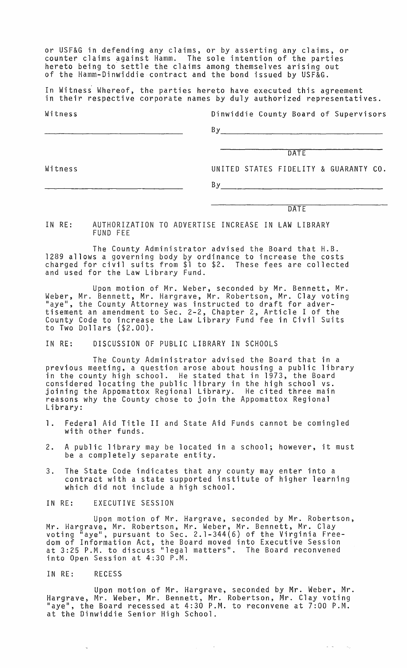or USF&G in defending any claims, or by asserting any claims, or counter claims against Hamm. The sole intention of the parties hereto being to settle the claims among themselves arising out of the Hamm-Dinwiddie contract and the bond issued by USF&G.

In Witness' Whereof, the parties hereto have executed this agreement in their respective corporate names by duly authorized representatives.

Witness

Dinwiddie County Board of Supervisors

Witness

**DATE** 

UNITED STATES FIDELITY & GUARANTY CO.

 $By$ 

DATE

 $\omega$  ,  $\omega$ 

 $\sim$   $\omega_{\rm g}$ 

IN RE: AUTHORIZATION TO ADVERTISE INCREASE IN LAW LIBRARY FUND FEE

The County Administrator advised the Board that H.B. 1289 allows a governing body by ordinance to increase the costs charged for civil suits from \$1 to \$2. These fees are collected and used for the Law Library Fund.

Upon motion of Mr. Weber, seconded by Mr. Bennett, Mr. Weber, Mr. Bennett, Mr. Hargrave, Mr. Robertson, Mr. Clay voting "aye", the County Attorney was instructed to draft for advertisement an amendment to Sec. 2-2, Chapter 2, Article I of the County Code to increase the Law Library Fund fee in Civil Suits to Two Dollars (\$2.00).

IN RE: DISCUSSION OF PUBLIC LIBRARY IN SCHOOLS

The County Administrator advised the Board that in a previous meeting, a question arose about housing a public library in the county high school. He stated that in 1973, the Board considered locating the public library in the high school vs. joining the Appomattox Regional Library. He cited three main reasons why the County chose to join the Appomattox Regional Library:

- 1. Federal Aid Title II and State Aid Funds cannot be comingled with other funds.
- 2. A public library may be located in a school; however, it must be a completely separate entity.
- 3. The State Code indicates that any county may enter into a contract with a state supported institute of higher learning which did not include a high school.
- IN RE: EXECUTIVE SESSION

Upon motion of Mr. Hargrave, seconded by Mr. Robertson, Mr. Hargrave, Mr. Robertson, Mr. Weber, Mr. Bennett, Mr. Clay voting "aye", pursuant to Sec. 2.1-344(6) of the Virginia Freedom of Information Act, the Board moved into Executive Session at 3:25 P.M. to discuss "legal matters". The Board reconvened into Open Session at 4:30 P.M.

IN RE: RECESS

Upon motion of Mr. Hargrave, seconded by Mr. Weber, Mr. Hargrave, Mr. Weber, Mr. Bennett, Mr. Robertson, Mr. Clay voting "aye", the Board recessed at 4:30 P.M. to reconvene at 7:00 P.M. at the Dinwiddie Senior High School.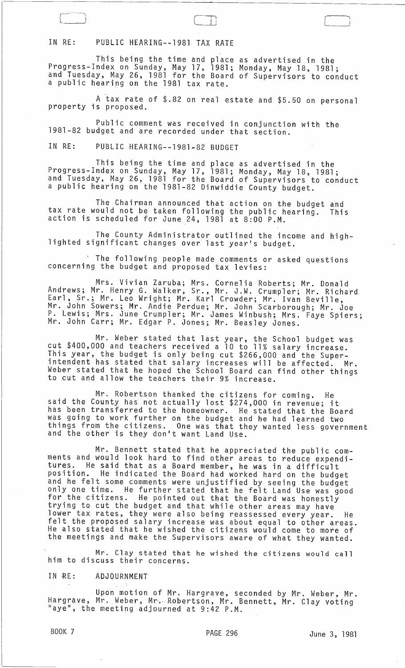# IN RE: PUBLIC HEARING--1981 TAX RATE

This being the time and place as advertised in the Progress-Index on Sunday, May 17, 1981; Monday, May 18, 1981; and Tuesday, May 26, 1981 for the Board of Supervisors to conduct a public hearing on the 1981 tax rate.

A tax rate of \$.82 on real estate and \$5.50 on personal property is proposed.

Public comment was received in conjunction with the 1981-82 budget and are recorded under that section.

IN RE: PUBLIC HEARING--1981-82 BUDGET

This being the time and place as advertised in the Progress-Index on Sunday, May 17, 1981; Monday, May 18, 1981; and Tuesday, May 26, 1981 for the Board of Supervisors to conduct a public hearing on the 1981-82 Dinwiddie County budget.

The Chairman announced that action on the budget and tax rate would not be taken following the public hearing. This action is scheduled for June 24, 1981 at 8:00 P.M.

The County Administrator outlined the income and high-<br>lighted significant changes over last year's budget.

<sup>t</sup> The following people made comments or asked questions concerning the budget and proposed tax levies:

Mrs. Vivian Zaruba; Mrs. Cornelia Roberts; Mr. Donald Andrews; Mr. Henry G. Walker, Sr., Mr. J.W. Crumpler; Mr. Richard Earl, Sr.; Mr. Leo Wright; Mr. Karl Crowder; Mr. Ivan Beville, Mr. John Sowers; Mr. Andie Perdue; Mr. John Scarborough; Mr. Joe P. Lewis; Mrs. June Crumpler; Mr. James Winbush; Mrs. Faye Spiers; Mr. John Carr; Mr. Edgar P. Jones; Mr. Beasley Jones.

Mr. Weber stated that last year, the School budget was cut \$400,000 and teachers received a 10 to 11% salary increase. This year, the budget is only being cut \$266,000 and the Superintendent has stated that salary increases will be affected. Mr. Weber stated that he hoped the School Board can find other things to cut and allow the teachers their 9% increase.

Mr. Robertson thanked the citizens for coming. He said the County has not actually lost \$274,000 in revenue; it has been transferred to the homeowner. He stated that the Board was going to work further on the budget and he had learned two things from the citizens. One was that they wanted less government<br>and the other is they don't want Land Use.

Mr. Bennett stated that he appreciated the public comments and would look hard to find other areas to reduce expenditures. He said that as a Board member, he was in a difficult position. He indicated the Board had worked hard on the budget and he felt some comments were unjustified by seeing the budget only one time. He further stated that he felt Land Use was good for the citizens. He pointed out that the Board was honestly trying to cut the budget and that while other areas may have lower tax rates, they were also being reassessed every year. He felt the proposed salary increase was about equal to other areas. He also stated that he wished the citizens would come to more of the meetings and make the Supervisors aware of what they wanted.

Mr. Clay stated that he wished the citizens would call him to discuss their concerns.

IN RE: ADJOURNMENT

Upon motion of Mr. Hargrave, seconded by Mr. Weber, Mr. Hargrave, Mr. Weber, Mr. Robertson, Mr. Bennett, Mr. Clay voting<br>"aye", the meeting adjourned at 9:42 P.M.

 $\Box$